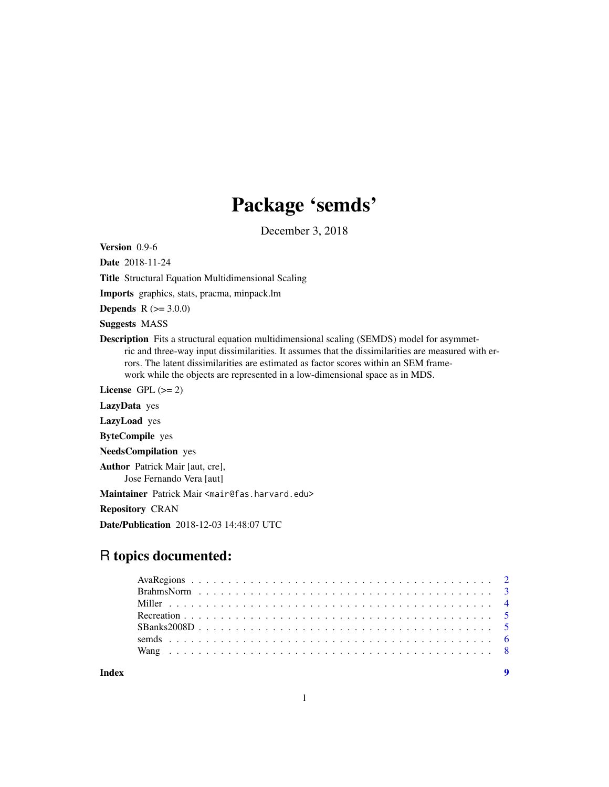# Package 'semds'

December 3, 2018

Version 0.9-6

Date 2018-11-24

Title Structural Equation Multidimensional Scaling

Imports graphics, stats, pracma, minpack.lm

**Depends** R  $(>= 3.0.0)$ 

Suggests MASS

Description Fits a structural equation multidimensional scaling (SEMDS) model for asymmetric and three-way input dissimilarities. It assumes that the dissimilarities are measured with errors. The latent dissimilarities are estimated as factor scores within an SEM framework while the objects are represented in a low-dimensional space as in MDS.

License GPL  $(>= 2)$ 

LazyData yes

LazyLoad yes

ByteCompile yes

NeedsCompilation yes

Author Patrick Mair [aut, cre], Jose Fernando Vera [aut]

Maintainer Patrick Mair <mair@fas.harvard.edu>

Repository CRAN

Date/Publication 2018-12-03 14:48:07 UTC

# R topics documented:

**Index** [9](#page-8-0)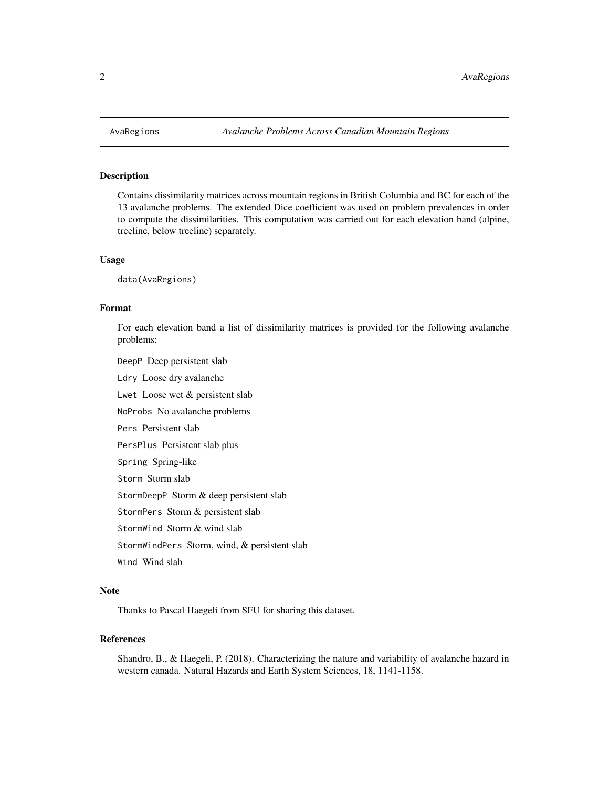<span id="page-1-0"></span>

Contains dissimilarity matrices across mountain regions in British Columbia and BC for each of the 13 avalanche problems. The extended Dice coefficient was used on problem prevalences in order to compute the dissimilarities. This computation was carried out for each elevation band (alpine, treeline, below treeline) separately.

#### Usage

data(AvaRegions)

#### Format

For each elevation band a list of dissimilarity matrices is provided for the following avalanche problems:

DeepP Deep persistent slab

Ldry Loose dry avalanche

Lwet Loose wet & persistent slab

NoProbs No avalanche problems

Pers Persistent slab

PersPlus Persistent slab plus

Spring Spring-like

Storm Storm slab

StormDeepP Storm & deep persistent slab

StormPers Storm & persistent slab

StormWind Storm & wind slab

StormWindPers Storm, wind, & persistent slab

Wind Wind slab

#### Note

Thanks to Pascal Haegeli from SFU for sharing this dataset.

# References

Shandro, B., & Haegeli, P. (2018). Characterizing the nature and variability of avalanche hazard in western canada. Natural Hazards and Earth System Sciences, 18, 1141-1158.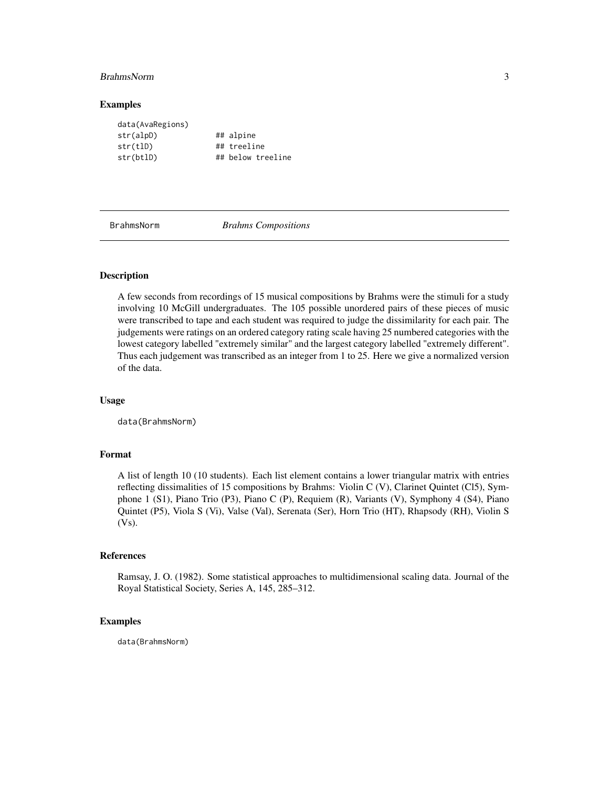#### <span id="page-2-0"></span>BrahmsNorm 3

#### Examples

| data(AvaRegions) |                   |
|------------------|-------------------|
| str(alpD)        | ## alpine         |
| str(tlD)         | ## treeline       |
| str(btlD)        | ## below treeline |

BrahmsNorm *Brahms Compositions*

#### Description

A few seconds from recordings of 15 musical compositions by Brahms were the stimuli for a study involving 10 McGill undergraduates. The 105 possible unordered pairs of these pieces of music were transcribed to tape and each student was required to judge the dissimilarity for each pair. The judgements were ratings on an ordered category rating scale having 25 numbered categories with the lowest category labelled "extremely similar" and the largest category labelled "extremely different". Thus each judgement was transcribed as an integer from 1 to 25. Here we give a normalized version of the data.

#### Usage

data(BrahmsNorm)

# Format

A list of length 10 (10 students). Each list element contains a lower triangular matrix with entries reflecting dissimalities of 15 compositions by Brahms: Violin C (V), Clarinet Quintet (Cl5), Symphone 1 (S1), Piano Trio (P3), Piano C (P), Requiem (R), Variants (V), Symphony 4 (S4), Piano Quintet (P5), Viola S (Vi), Valse (Val), Serenata (Ser), Horn Trio (HT), Rhapsody (RH), Violin S (Vs).

#### References

Ramsay, J. O. (1982). Some statistical approaches to multidimensional scaling data. Journal of the Royal Statistical Society, Series A, 145, 285–312.

#### Examples

data(BrahmsNorm)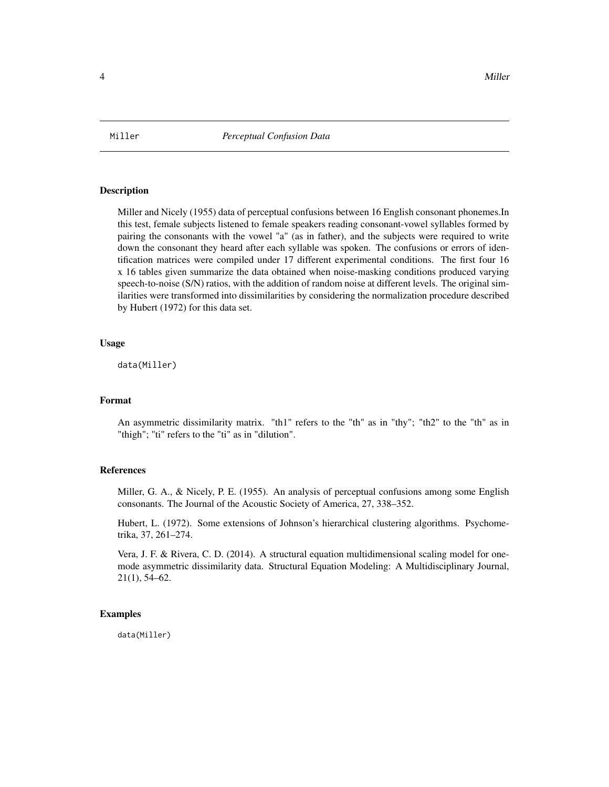<span id="page-3-1"></span><span id="page-3-0"></span>

Miller and Nicely (1955) data of perceptual confusions between 16 English consonant phonemes.In this test, female subjects listened to female speakers reading consonant-vowel syllables formed by pairing the consonants with the vowel "a" (as in father), and the subjects were required to write down the consonant they heard after each syllable was spoken. The confusions or errors of identification matrices were compiled under 17 different experimental conditions. The first four 16 x 16 tables given summarize the data obtained when noise-masking conditions produced varying speech-to-noise (S/N) ratios, with the addition of random noise at different levels. The original similarities were transformed into dissimilarities by considering the normalization procedure described by Hubert (1972) for this data set.

#### Usage

data(Miller)

#### Format

An asymmetric dissimilarity matrix. "th1" refers to the "th" as in "thy"; "th2" to the "th" as in "thigh"; "ti" refers to the "ti" as in "dilution".

# References

Miller, G. A., & Nicely, P. E. (1955). An analysis of perceptual confusions among some English consonants. The Journal of the Acoustic Society of America, 27, 338–352.

Hubert, L. (1972). Some extensions of Johnson's hierarchical clustering algorithms. Psychometrika, 37, 261–274.

Vera, J. F. & Rivera, C. D. (2014). A structural equation multidimensional scaling model for onemode asymmetric dissimilarity data. Structural Equation Modeling: A Multidisciplinary Journal, 21(1), 54–62.

#### Examples

data(Miller)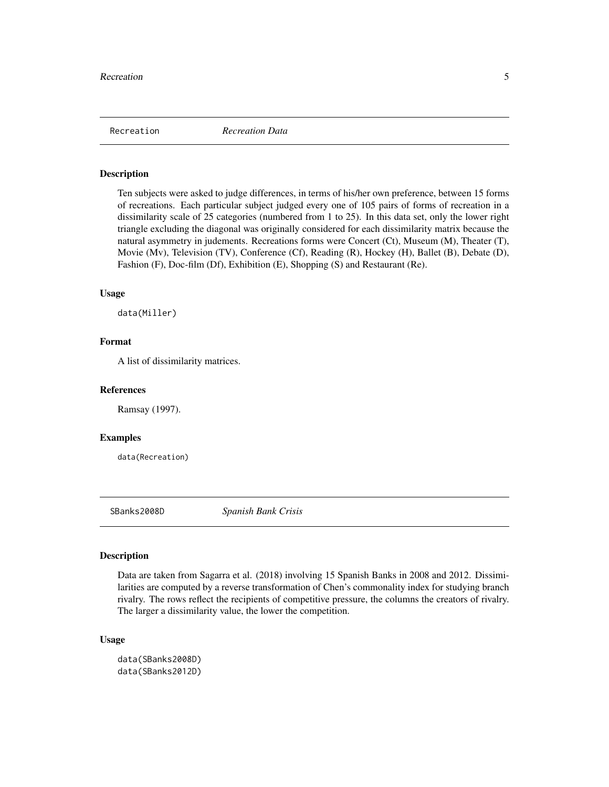<span id="page-4-0"></span>

Ten subjects were asked to judge differences, in terms of his/her own preference, between 15 forms of recreations. Each particular subject judged every one of 105 pairs of forms of recreation in a dissimilarity scale of 25 categories (numbered from 1 to 25). In this data set, only the lower right triangle excluding the diagonal was originally considered for each dissimilarity matrix because the natural asymmetry in judements. Recreations forms were Concert (Ct), Museum (M), Theater (T), Movie (Mv), Television (TV), Conference (Cf), Reading (R), Hockey (H), Ballet (B), Debate (D), Fashion (F), Doc-film (Df), Exhibition (E), Shopping (S) and Restaurant (Re).

#### Usage

data(Miller)

# Format

A list of dissimilarity matrices.

#### References

Ramsay (1997).

#### Examples

data(Recreation)

SBanks2008D *Spanish Bank Crisis*

#### Description

Data are taken from Sagarra et al. (2018) involving 15 Spanish Banks in 2008 and 2012. Dissimilarities are computed by a reverse transformation of Chen's commonality index for studying branch rivalry. The rows reflect the recipients of competitive pressure, the columns the creators of rivalry. The larger a dissimilarity value, the lower the competition.

#### Usage

data(SBanks2008D) data(SBanks2012D)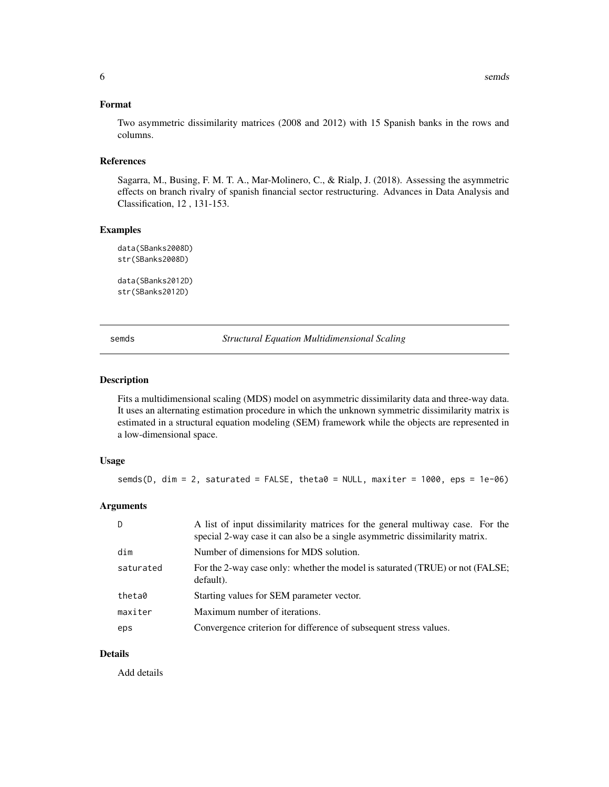#### <span id="page-5-0"></span>Format

Two asymmetric dissimilarity matrices (2008 and 2012) with 15 Spanish banks in the rows and columns.

#### References

Sagarra, M., Busing, F. M. T. A., Mar-Molinero, C., & Rialp, J. (2018). Assessing the asymmetric effects on branch rivalry of spanish financial sector restructuring. Advances in Data Analysis and Classification, 12 , 131-153.

#### Examples

```
data(SBanks2008D)
str(SBanks2008D)
```

```
data(SBanks2012D)
str(SBanks2012D)
```
semds *Structural Equation Multidimensional Scaling*

#### Description

Fits a multidimensional scaling (MDS) model on asymmetric dissimilarity data and three-way data. It uses an alternating estimation procedure in which the unknown symmetric dissimilarity matrix is estimated in a structural equation modeling (SEM) framework while the objects are represented in a low-dimensional space.

#### Usage

```
semds(D, dim = 2, saturated = FALSE, theta\theta = NULL, maxiter = 1000, eps = 1e-06)
```
### Arguments

| D         | A list of input dissimilarity matrices for the general multiway case. For the<br>special 2-way case it can also be a single asymmetric dissimilarity matrix. |
|-----------|--------------------------------------------------------------------------------------------------------------------------------------------------------------|
| dim       | Number of dimensions for MDS solution.                                                                                                                       |
| saturated | For the 2-way case only: whether the model is saturated (TRUE) or not (FALSE;<br>default).                                                                   |
| theta0    | Starting values for SEM parameter vector.                                                                                                                    |
| maxiter   | Maximum number of iterations.                                                                                                                                |
| eps       | Convergence criterion for difference of subsequent stress values.                                                                                            |

# Details

Add details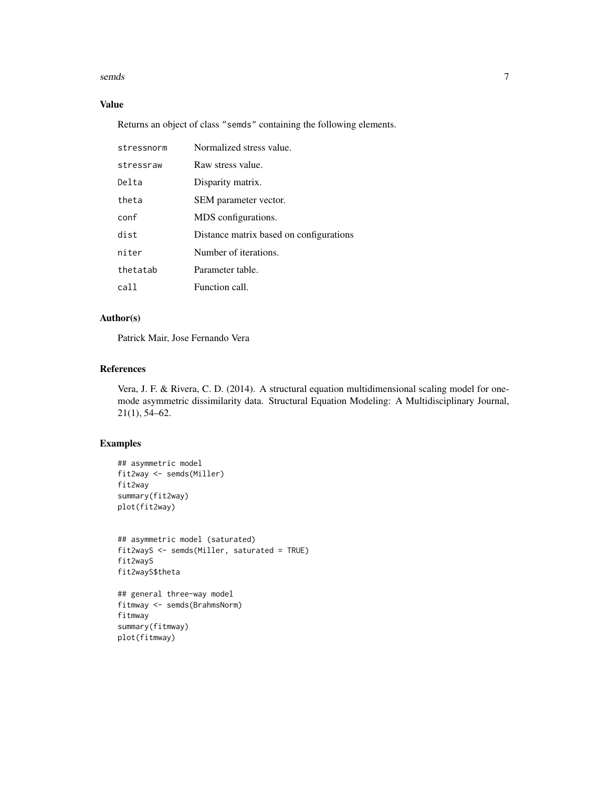#### semds 7

# Value

Returns an object of class "semds" containing the following elements.

| stressnorm | Normalized stress value.                |
|------------|-----------------------------------------|
| stressraw  | Raw stress value.                       |
| Delta      | Disparity matrix.                       |
| theta      | SEM parameter vector.                   |
| conf       | MDS configurations.                     |
| dist       | Distance matrix based on configurations |
| niter      | Number of iterations.                   |
| thetatab   | Parameter table.                        |
| call       | Function call.                          |

# Author(s)

Patrick Mair, Jose Fernando Vera

# References

Vera, J. F. & Rivera, C. D. (2014). A structural equation multidimensional scaling model for onemode asymmetric dissimilarity data. Structural Equation Modeling: A Multidisciplinary Journal, 21(1), 54–62.

# Examples

```
## asymmetric model
fit2way <- semds(Miller)
fit2way
summary(fit2way)
plot(fit2way)
```

```
## asymmetric model (saturated)
fit2wayS <- semds(Miller, saturated = TRUE)
fit2wayS
fit2wayS$theta
```

```
## general three-way model
fitmway <- semds(BrahmsNorm)
fitmway
summary(fitmway)
plot(fitmway)
```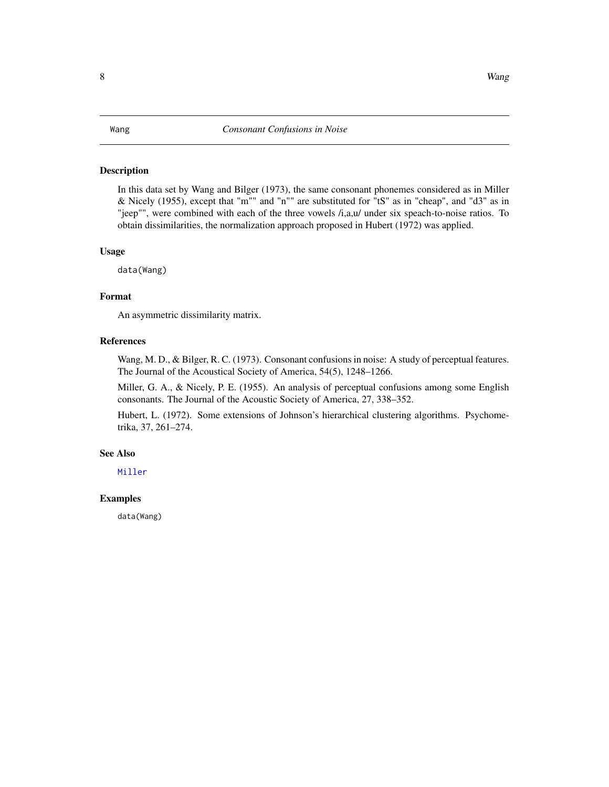<span id="page-7-0"></span>In this data set by Wang and Bilger (1973), the same consonant phonemes considered as in Miller & Nicely (1955), except that "m"" and "n"" are substituted for "tS" as in "cheap", and "d3" as in "jeep"", were combined with each of the three vowels /i,a,u/ under six speach-to-noise ratios. To obtain dissimilarities, the normalization approach proposed in Hubert (1972) was applied.

#### Usage

data(Wang)

#### Format

An asymmetric dissimilarity matrix.

#### References

Wang, M. D., & Bilger, R. C. (1973). Consonant confusions in noise: A study of perceptual features. The Journal of the Acoustical Society of America, 54(5), 1248–1266.

Miller, G. A., & Nicely, P. E. (1955). An analysis of perceptual confusions among some English consonants. The Journal of the Acoustic Society of America, 27, 338–352.

Hubert, L. (1972). Some extensions of Johnson's hierarchical clustering algorithms. Psychometrika, 37, 261–274.

#### See Also

[Miller](#page-3-1)

#### Examples

data(Wang)